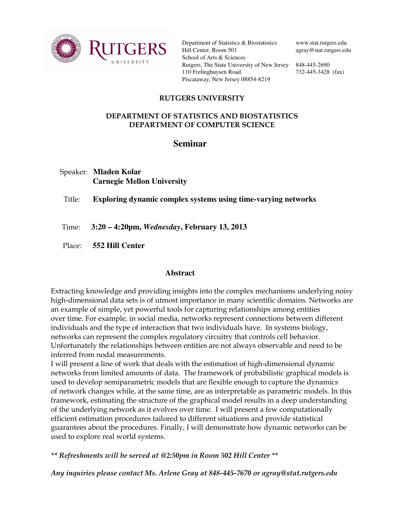

Department of Statistics & Biostatistics Hill Center, Room 501 School of Arts & Sciences Rutgers, The State University of New Jersey 848-445-2690 110 Frelinghuysen Road. Piscataway, New Jersey 08854-8219

www.stat.rutgers.edu agray@stat.rutgers.edu

732-445-3428 (fax)

## RUTGERS UNIVERSITY

## DEPARTMENT OF STATISTICS AND BIOSTATISTICS DEPARTMENT OF COMPUTER SCIENCE

## **Seminar**

- Speaker: **Mladen Kolar Carnegie Mellon University**
- Title: **Exploring dynamic complex systems using time-varying networks**
- Time: **3:20 4:20pm,** *Wednesday***, February 13, 2013**
- Place: **552 Hill Center**

## **Abstract**

Extracting knowledge and providing insights into the complex mechanisms underlying noisy high-dimensional data sets is of utmost importance in many scientific domains. Networks are an example of simple, yet powerful tools for capturing relationships among entities over time. For example, in social media, networks represent connections between different individuals and the type of interaction that two individuals have. In systems biology, networks can represent the complex regulatory circuitry that controls cell behavior. Unfortunately the relationships between entities are not always observable and need to be inferred from nodal measurements.

I will present a line of work that deals with the estimation of high-dimensional dynamic networks from limited amounts of data. The framework of probabilistic graphical models is used to develop semiparametric models that are flexible enough to capture the dynamics of network changes while, at the same time, are as interpretable as parametric models. In this framework, estimating the structure of the graphical model results in a deep understanding of the underlying network as it evolves over time. I will present a few computationally efficient estimation procedures tailored to different situations and provide statistical guarantees about the procedures. Finally, I will demonstrate how dynamic networks can be used to explore real world systems.

\*\* Refreshments will be served at @2:50pm in Room 502 Hill Center \*\*

Any inquiries please contact Ms. Arlene Gray at 848-445-7670 or agray@stat.rutgers.edu